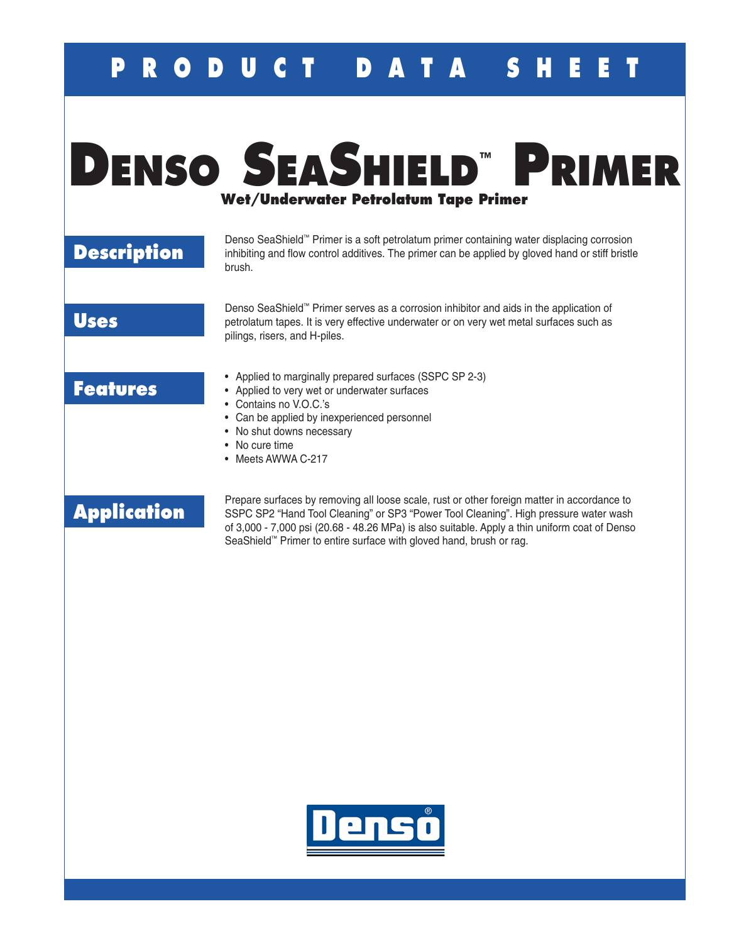## **P U C T P A T A S H E**

# **Denso SeaShield™ Primer Wet/Underwater Petrolatum Tape Primer**

### **Description**

Denso SeaShield™ Primer is a soft petrolatum primer containing water displacing corrosion inhibiting and flow control additives. The primer can be applied by gloved hand or stiff bristle brush.

#### **Uses**

Denso SeaShield™ Primer serves as a corrosion inhibitor and aids in the application of petrolatum tapes. It is very effective underwater or on very wet metal surfaces such as pilings, risers, and H-piles.

#### **Features**

- Applied to marginally prepared surfaces (SSPC SP 2-3)
- Applied to very wet or underwater surfaces
- Contains no V.O.C.'s
- Can be applied by inexperienced personnel
- No shut downs necessary
- No cure time
- Meets AWWA C-217

### **Application**

Prepare surfaces by removing all loose scale, rust or other foreign matter in accordance to SSPC SP2 "Hand Tool Cleaning" or SP3 "Power Tool Cleaning". High pressure water wash of 3,000 - 7,000 psi (20.68 - 48.26 MPa) is also suitable. Apply a thin uniform coat of Denso SeaShield™ Primer to entire surface with gloved hand, brush or rag.